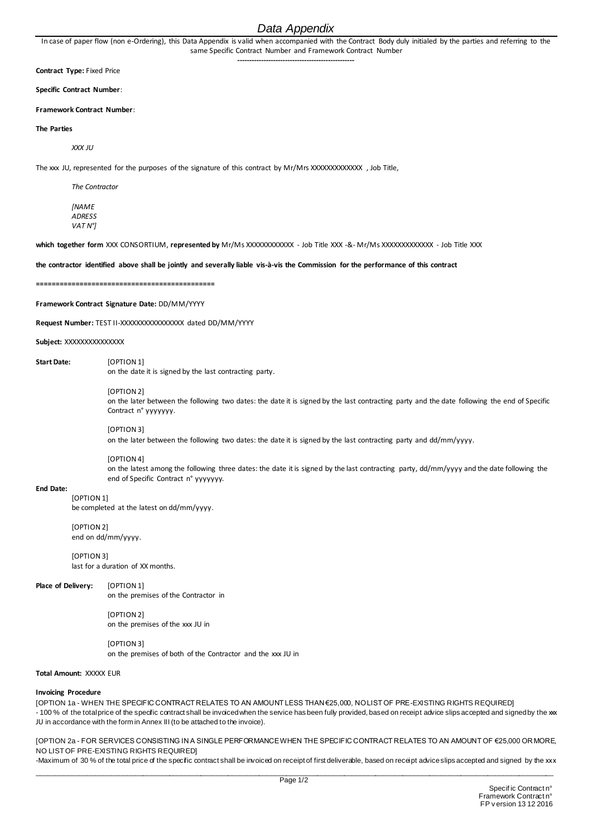# *Data Appendix*

In case of paper flow (non e-Ordering), this Data Appendix is valid when accompanied with the Contract Body duly initialed by the parties and referring to the same Specific Contract Number and Framework Contract Number **-------------------------------------------------**

**Contract Type:** Fixed Price

**Specific Contract Number**:

**Framework Contract Number**:

### **The Parties**

*XXX JU*

The xxx JU, represented for the purposes of the signature of this contract by Mr/Mrs XXXXXXXXXXXXX , Job Title,

*The Contractor*

*[NAME ADRESS VAT N°]*

**which together form** XXX CONSORTIUM, **represented by** Mr/Ms XXXXXXXXXXXX - Job Title XXX -&- Mr/Ms XXXXXXXXXXXXX - Job Title XXX

### **the contractor identified above shall be jointly and severally liable vis-à-vis the Commission for the performance of this contract**

**=============================================**

**Framework Contract Signature Date:** DD/MM/YYYY

**Request Number:** TEST II-XXXXXXXXXXXXXXXX dated DD/MM/YYYY

**Subject:** XXXXXXXXXXXXXXX

**Start Date:** [OPTION 1] on the date it is signed by the last contracting party.

### [OPTION 2]

on the later between the following two dates: the date it is signed by the last contracting party and the date following the end of Specific Contract n° yyyyyyy.

## [OPTION 3]

on the later between the following two dates: the date it is signed by the last contracting party and dd/mm/yyyy.

#### [OPTION 4]

on the latest among the following three dates: the date it is signed by the last contracting party, dd/mm/yyyy and the date following the end of Specific Contract n° yyyyyyy.

#### **End Date:** [OPTION 1]

be completed at the latest on dd/mm/yyyy.

# [OPTION 2]

end on dd/mm/yyyy.

[OPTION 3] last for a duration of XX months.

## **Place of Delivery:** [OPTION 1]

on the premises of the Contractor in

[OPTION 2] on the premises of the xxx JU in

[OPTION 3] on the premises of both of the Contractor and the xxx JU in

## **Total Amount:** XXXXX EUR

#### **Invoicing Procedure**

[OPTION 1a - WHEN THE SPECIFIC CONTRACT RELATES TO AN AMOUNT LESS THAN €25,000, NO LIST OF PRE-EXISTING RIGHTS REQUIRED] - 100 % of the total price of the specific contract shall be invoiced when the service has been fully provided, based on receipt advice slips accepted and signed by the xxx JU in accordance with the form in Annex III (to be attached to the invoice).

[OPTION 2a - FOR SERVICES CONSISTING IN A SINGLE PERFORMANCE WHEN THE SPECIFIC CONTRACT RELATES TO AN AMOUNT OF €25,000 OR MORE, NO LIST OF PRE-EXISTING RIGHTS REQUIRED]

\_\_\_\_\_\_\_\_\_\_\_\_\_\_\_\_\_\_\_\_\_\_\_\_\_\_\_\_\_\_\_\_\_\_\_\_\_\_\_\_\_\_\_\_\_\_\_\_\_\_\_\_\_\_\_\_\_\_\_\_\_\_\_\_\_\_\_\_\_\_\_\_\_\_\_\_\_\_\_\_\_\_\_\_\_\_\_\_\_\_\_\_\_\_\_\_\_\_\_\_\_\_\_\_\_\_\_\_\_\_\_\_\_\_\_\_\_\_\_\_\_\_\_\_\_\_\_\_\_\_\_\_\_ -Maximum of 30 % of the total price of the specific contract shall be invoiced on receipt of first deliverable, based on receipt advice slips accepted and signed by the xxx